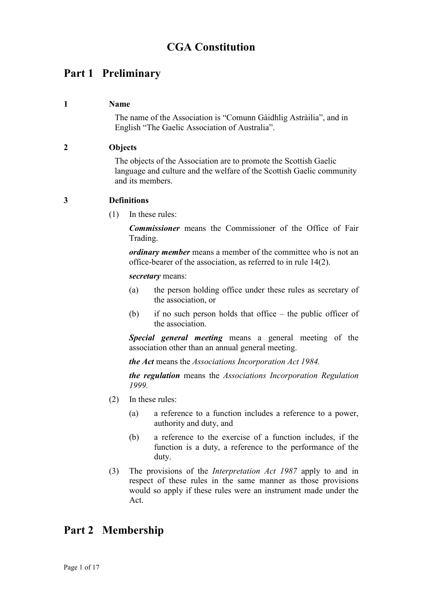# CGA Constitution

# Part 1 Preliminary

#### 1 Name

The name of the Association is "Comunn Gàidhlig Astràilia", and in English "The Gaelic Association of Australia".

# 2 Objects

The objects of the Association are to promote the Scottish Gaelic language and culture and the welfare of the Scottish Gaelic community and its members.

# 3 Definitions

(1) In these rules:

Commissioner means the Commissioner of the Office of Fair Trading.

ordinary member means a member of the committee who is not an office-bearer of the association, as referred to in rule 14(2).

secretary means:

- (a) the person holding office under these rules as secretary of the association, or
- (b) if no such person holds that office the public officer of the association.

Special general meeting means a general meeting of the association other than an annual general meeting.

the Act means the Associations Incorporation Act 1984.

the regulation means the Associations Incorporation Regulation 1999.

- (2) In these rules:
	- (a) a reference to a function includes a reference to a power, authority and duty, and
	- (b) a reference to the exercise of a function includes, if the function is a duty, a reference to the performance of the duty.
- (3) The provisions of the Interpretation Act 1987 apply to and in respect of these rules in the same manner as those provisions would so apply if these rules were an instrument made under the Act.

# Part 2 Membership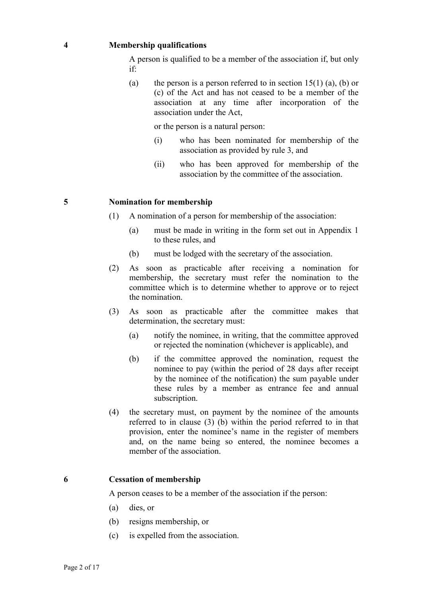#### 4 Membership qualifications

A person is qualified to be a member of the association if, but only if:

(a) the person is a person referred to in section  $15(1)$  (a), (b) or (c) of the Act and has not ceased to be a member of the association at any time after incorporation of the association under the Act,

or the person is a natural person:

- (i) who has been nominated for membership of the association as provided by rule 3, and
- (ii) who has been approved for membership of the association by the committee of the association.

#### 5 Nomination for membership

- (1) A nomination of a person for membership of the association:
	- (a) must be made in writing in the form set out in Appendix 1 to these rules, and
	- (b) must be lodged with the secretary of the association.
- (2) As soon as practicable after receiving a nomination for membership, the secretary must refer the nomination to the committee which is to determine whether to approve or to reject the nomination.
- (3) As soon as practicable after the committee makes that determination, the secretary must:
	- (a) notify the nominee, in writing, that the committee approved or rejected the nomination (whichever is applicable), and
	- (b) if the committee approved the nomination, request the nominee to pay (within the period of 28 days after receipt by the nominee of the notification) the sum payable under these rules by a member as entrance fee and annual subscription.
- (4) the secretary must, on payment by the nominee of the amounts referred to in clause (3) (b) within the period referred to in that provision, enter the nominee's name in the register of members and, on the name being so entered, the nominee becomes a member of the association.

#### 6 Cessation of membership

A person ceases to be a member of the association if the person:

- (a) dies, or
- (b) resigns membership, or
- (c) is expelled from the association.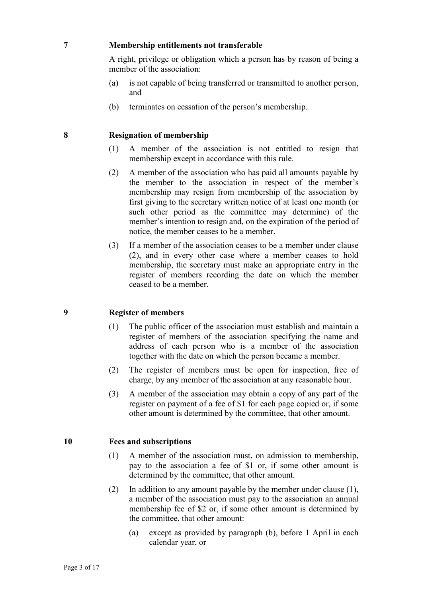#### 7 Membership entitlements not transferable

A right, privilege or obligation which a person has by reason of being a member of the association:

- (a) is not capable of being transferred or transmitted to another person, and
- (b) terminates on cessation of the person's membership.

#### 8 Resignation of membership

- (1) A member of the association is not entitled to resign that membership except in accordance with this rule.
- (2) A member of the association who has paid all amounts payable by the member to the association in respect of the member's membership may resign from membership of the association by first giving to the secretary written notice of at least one month (or such other period as the committee may determine) of the member's intention to resign and, on the expiration of the period of notice, the member ceases to be a member.
- (3) If a member of the association ceases to be a member under clause (2), and in every other case where a member ceases to hold membership, the secretary must make an appropriate entry in the register of members recording the date on which the member ceased to be a member.

#### 9 Register of members

- (1) The public officer of the association must establish and maintain a register of members of the association specifying the name and address of each person who is a member of the association together with the date on which the person became a member.
- (2) The register of members must be open for inspection, free of charge, by any member of the association at any reasonable hour.
- (3) A member of the association may obtain a copy of any part of the register on payment of a fee of \$1 for each page copied or, if some other amount is determined by the committee, that other amount.

# 10 Fees and subscriptions

- (1) A member of the association must, on admission to membership, pay to the association a fee of \$1 or, if some other amount is determined by the committee, that other amount.
- (2) In addition to any amount payable by the member under clause (1), a member of the association must pay to the association an annual membership fee of \$2 or, if some other amount is determined by the committee, that other amount:
	- (a) except as provided by paragraph (b), before 1 April in each calendar year, or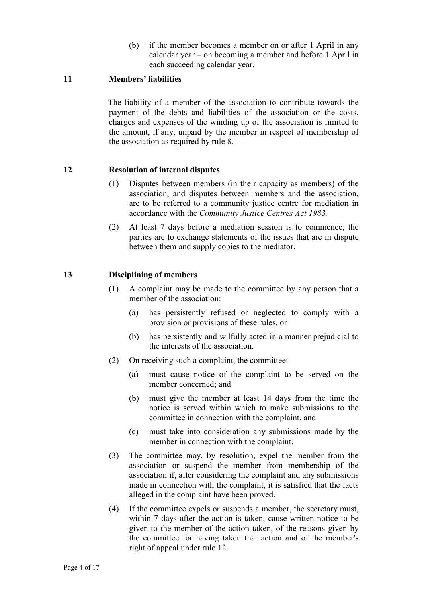(b) if the member becomes a member on or after 1 April in any calendar year – on becoming a member and before 1 April in each succeeding calendar year.

# 11 Members' liabilities

 The liability of a member of the association to contribute towards the payment of the debts and liabilities of the association or the costs, charges and expenses of the winding up of the association is limited to the amount, if any, unpaid by the member in respect of membership of the association as required by rule 8.

# 12 Resolution of internal disputes

- (1) Disputes between members (in their capacity as members) of the association, and disputes between members and the association, are to be referred to a community justice centre for mediation in accordance with the Community Justice Centres Act 1983.
- (2) At least 7 days before a mediation session is to commence, the parties are to exchange statements of the issues that are in dispute between them and supply copies to the mediator.

# 13 Disciplining of members

- (1) A complaint may be made to the committee by any person that a member of the association:
	- (a) has persistently refused or neglected to comply with a provision or provisions of these rules, or
	- (b) has persistently and wilfully acted in a manner prejudicial to the interests of the association.
- (2) On receiving such a complaint, the committee:
	- (a) must cause notice of the complaint to be served on the member concerned; and
	- (b) must give the member at least 14 days from the time the notice is served within which to make submissions to the committee in connection with the complaint, and
	- (c) must take into consideration any submissions made by the member in connection with the complaint.
- (3) The committee may, by resolution, expel the member from the association or suspend the member from membership of the association if, after considering the complaint and any submissions made in connection with the complaint, it is satisfied that the facts alleged in the complaint have been proved.
- (4) If the committee expels or suspends a member, the secretary must, within 7 days after the action is taken, cause written notice to be given to the member of the action taken, of the reasons given by the committee for having taken that action and of the member's right of appeal under rule 12.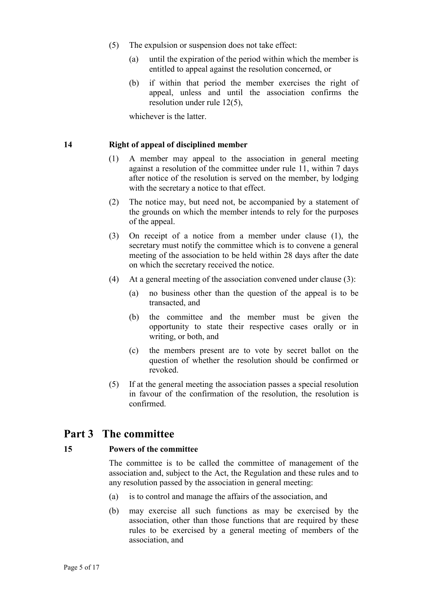- (5) The expulsion or suspension does not take effect:
	- (a) until the expiration of the period within which the member is entitled to appeal against the resolution concerned, or
	- (b) if within that period the member exercises the right of appeal, unless and until the association confirms the resolution under rule 12(5),

whichever is the latter.

#### 14 Right of appeal of disciplined member

- (1) A member may appeal to the association in general meeting against a resolution of the committee under rule 11, within 7 days after notice of the resolution is served on the member, by lodging with the secretary a notice to that effect.
- (2) The notice may, but need not, be accompanied by a statement of the grounds on which the member intends to rely for the purposes of the appeal.
- (3) On receipt of a notice from a member under clause (1), the secretary must notify the committee which is to convene a general meeting of the association to be held within 28 days after the date on which the secretary received the notice.
- (4) At a general meeting of the association convened under clause (3):
	- (a) no business other than the question of the appeal is to be transacted, and
	- (b) the committee and the member must be given the opportunity to state their respective cases orally or in writing, or both, and
	- (c) the members present are to vote by secret ballot on the question of whether the resolution should be confirmed or revoked.
- (5) If at the general meeting the association passes a special resolution in favour of the confirmation of the resolution, the resolution is confirmed.

# Part 3 The committee

#### 15 Powers of the committee

The committee is to be called the committee of management of the association and, subject to the Act, the Regulation and these rules and to any resolution passed by the association in general meeting:

- (a) is to control and manage the affairs of the association, and
- (b) may exercise all such functions as may be exercised by the association, other than those functions that are required by these rules to be exercised by a general meeting of members of the association, and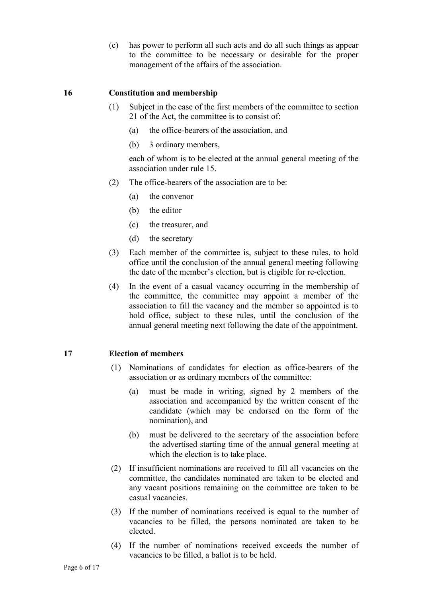(c) has power to perform all such acts and do all such things as appear to the committee to be necessary or desirable for the proper management of the affairs of the association.

#### 16 Constitution and membership

- (1) Subject in the case of the first members of the committee to section 21 of the Act, the committee is to consist of:
	- (a) the office-bearers of the association, and
	- (b) 3 ordinary members,

each of whom is to be elected at the annual general meeting of the association under rule 15.

- (2) The office-bearers of the association are to be:
	- (a) the convenor
	- (b) the editor
	- (c) the treasurer, and
	- (d) the secretary
- (3) Each member of the committee is, subject to these rules, to hold office until the conclusion of the annual general meeting following the date of the member's election, but is eligible for re-election.
- (4) In the event of a casual vacancy occurring in the membership of the committee, the committee may appoint a member of the association to fill the vacancy and the member so appointed is to hold office, subject to these rules, until the conclusion of the annual general meeting next following the date of the appointment.

#### 17 Election of members

- (1) Nominations of candidates for election as office-bearers of the association or as ordinary members of the committee:
	- (a) must be made in writing, signed by 2 members of the association and accompanied by the written consent of the candidate (which may be endorsed on the form of the nomination), and
	- (b) must be delivered to the secretary of the association before the advertised starting time of the annual general meeting at which the election is to take place.
- (2) If insufficient nominations are received to fill all vacancies on the committee, the candidates nominated are taken to be elected and any vacant positions remaining on the committee are taken to be casual vacancies.
- (3) If the number of nominations received is equal to the number of vacancies to be filled, the persons nominated are taken to be elected.
- (4) If the number of nominations received exceeds the number of vacancies to be filled, a ballot is to be held.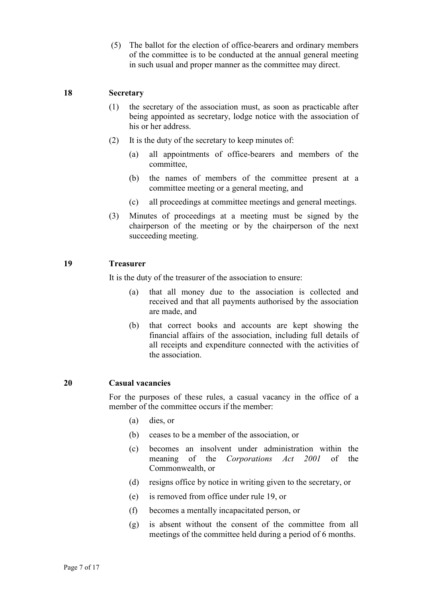(5) The ballot for the election of office-bearers and ordinary members of the committee is to be conducted at the annual general meeting in such usual and proper manner as the committee may direct.

#### 18 Secretary

- (1) the secretary of the association must, as soon as practicable after being appointed as secretary, lodge notice with the association of his or her address.
- (2) It is the duty of the secretary to keep minutes of:
	- (a) all appointments of office-bearers and members of the committee,
	- (b) the names of members of the committee present at a committee meeting or a general meeting, and
	- (c) all proceedings at committee meetings and general meetings.
- (3) Minutes of proceedings at a meeting must be signed by the chairperson of the meeting or by the chairperson of the next succeeding meeting.

#### 19 Treasurer

It is the duty of the treasurer of the association to ensure:

- (a) that all money due to the association is collected and received and that all payments authorised by the association are made, and
- (b) that correct books and accounts are kept showing the financial affairs of the association, including full details of all receipts and expenditure connected with the activities of the association.

#### 20 Casual vacancies

For the purposes of these rules, a casual vacancy in the office of a member of the committee occurs if the member:

- (a) dies, or
- (b) ceases to be a member of the association, or
- (c) becomes an insolvent under administration within the meaning of the Corporations Act 2001 of the Commonwealth, or
- (d) resigns office by notice in writing given to the secretary, or
- (e) is removed from office under rule 19, or
- (f) becomes a mentally incapacitated person, or
- (g) is absent without the consent of the committee from all meetings of the committee held during a period of 6 months.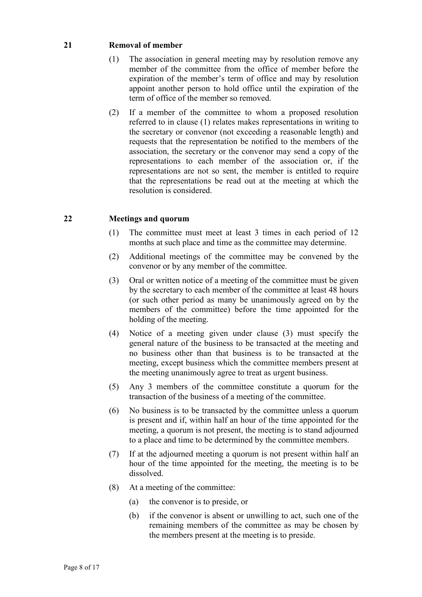# 21 Removal of member

- (1) The association in general meeting may by resolution remove any member of the committee from the office of member before the expiration of the member's term of office and may by resolution appoint another person to hold office until the expiration of the term of office of the member so removed.
- (2) If a member of the committee to whom a proposed resolution referred to in clause (1) relates makes representations in writing to the secretary or convenor (not exceeding a reasonable length) and requests that the representation be notified to the members of the association, the secretary or the convenor may send a copy of the representations to each member of the association or, if the representations are not so sent, the member is entitled to require that the representations be read out at the meeting at which the resolution is considered.

# 22 Meetings and quorum

- (1) The committee must meet at least 3 times in each period of 12 months at such place and time as the committee may determine.
- (2) Additional meetings of the committee may be convened by the convenor or by any member of the committee.
- (3) Oral or written notice of a meeting of the committee must be given by the secretary to each member of the committee at least 48 hours (or such other period as many be unanimously agreed on by the members of the committee) before the time appointed for the holding of the meeting.
- (4) Notice of a meeting given under clause (3) must specify the general nature of the business to be transacted at the meeting and no business other than that business is to be transacted at the meeting, except business which the committee members present at the meeting unanimously agree to treat as urgent business.
- (5) Any 3 members of the committee constitute a quorum for the transaction of the business of a meeting of the committee.
- (6) No business is to be transacted by the committee unless a quorum is present and if, within half an hour of the time appointed for the meeting, a quorum is not present, the meeting is to stand adjourned to a place and time to be determined by the committee members.
- (7) If at the adjourned meeting a quorum is not present within half an hour of the time appointed for the meeting, the meeting is to be dissolved.
- (8) At a meeting of the committee:
	- (a) the convenor is to preside, or
	- (b) if the convenor is absent or unwilling to act, such one of the remaining members of the committee as may be chosen by the members present at the meeting is to preside.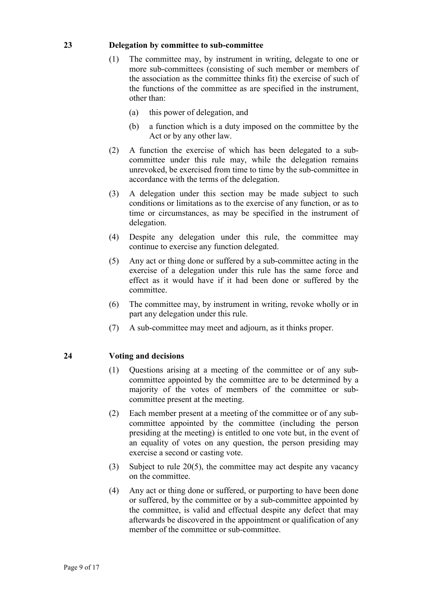#### 23 Delegation by committee to sub-committee

- (1) The committee may, by instrument in writing, delegate to one or more sub-committees (consisting of such member or members of the association as the committee thinks fit) the exercise of such of the functions of the committee as are specified in the instrument, other than:
	- (a) this power of delegation, and
	- (b) a function which is a duty imposed on the committee by the Act or by any other law.
- (2) A function the exercise of which has been delegated to a subcommittee under this rule may, while the delegation remains unrevoked, be exercised from time to time by the sub-committee in accordance with the terms of the delegation.
- (3) A delegation under this section may be made subject to such conditions or limitations as to the exercise of any function, or as to time or circumstances, as may be specified in the instrument of delegation.
- (4) Despite any delegation under this rule, the committee may continue to exercise any function delegated.
- (5) Any act or thing done or suffered by a sub-committee acting in the exercise of a delegation under this rule has the same force and effect as it would have if it had been done or suffered by the committee.
- (6) The committee may, by instrument in writing, revoke wholly or in part any delegation under this rule.
- (7) A sub-committee may meet and adjourn, as it thinks proper.

# 24 Voting and decisions

- (1) Questions arising at a meeting of the committee or of any subcommittee appointed by the committee are to be determined by a majority of the votes of members of the committee or subcommittee present at the meeting.
- (2) Each member present at a meeting of the committee or of any subcommittee appointed by the committee (including the person presiding at the meeting) is entitled to one vote but, in the event of an equality of votes on any question, the person presiding may exercise a second or casting vote.
- (3) Subject to rule 20(5), the committee may act despite any vacancy on the committee.
- (4) Any act or thing done or suffered, or purporting to have been done or suffered, by the committee or by a sub-committee appointed by the committee, is valid and effectual despite any defect that may afterwards be discovered in the appointment or qualification of any member of the committee or sub-committee.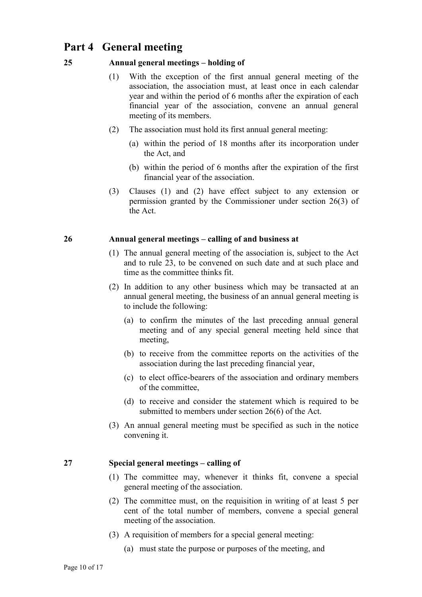# Part 4 General meeting

# 25 Annual general meetings – holding of

- (1) With the exception of the first annual general meeting of the association, the association must, at least once in each calendar year and within the period of 6 months after the expiration of each financial year of the association, convene an annual general meeting of its members.
- (2) The association must hold its first annual general meeting:
	- (a) within the period of 18 months after its incorporation under the Act, and
	- (b) within the period of 6 months after the expiration of the first financial year of the association.
- (3) Clauses (1) and (2) have effect subject to any extension or permission granted by the Commissioner under section 26(3) of the Act.

#### 26 Annual general meetings – calling of and business at

- (1) The annual general meeting of the association is, subject to the Act and to rule 23, to be convened on such date and at such place and time as the committee thinks fit.
- (2) In addition to any other business which may be transacted at an annual general meeting, the business of an annual general meeting is to include the following:
	- (a) to confirm the minutes of the last preceding annual general meeting and of any special general meeting held since that meeting,
	- (b) to receive from the committee reports on the activities of the association during the last preceding financial year,
	- (c) to elect office-bearers of the association and ordinary members of the committee,
	- (d) to receive and consider the statement which is required to be submitted to members under section 26(6) of the Act.
- (3) An annual general meeting must be specified as such in the notice convening it.

# 27 Special general meetings – calling of

- (1) The committee may, whenever it thinks fit, convene a special general meeting of the association.
- (2) The committee must, on the requisition in writing of at least 5 per cent of the total number of members, convene a special general meeting of the association.
- (3) A requisition of members for a special general meeting:
	- (a) must state the purpose or purposes of the meeting, and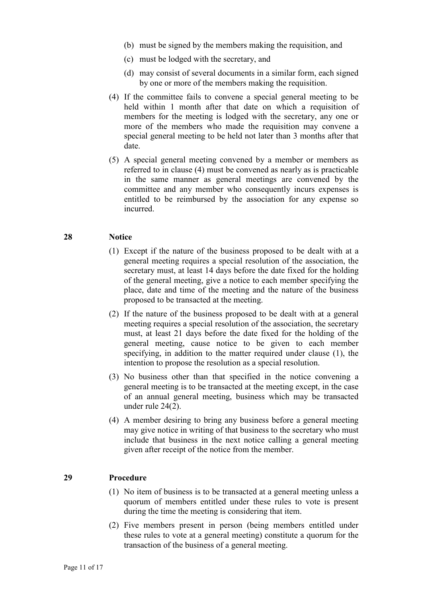- (b) must be signed by the members making the requisition, and
- (c) must be lodged with the secretary, and
- (d) may consist of several documents in a similar form, each signed by one or more of the members making the requisition.
- (4) If the committee fails to convene a special general meeting to be held within 1 month after that date on which a requisition of members for the meeting is lodged with the secretary, any one or more of the members who made the requisition may convene a special general meeting to be held not later than 3 months after that date.
- (5) A special general meeting convened by a member or members as referred to in clause (4) must be convened as nearly as is practicable in the same manner as general meetings are convened by the committee and any member who consequently incurs expenses is entitled to be reimbursed by the association for any expense so incurred.

#### 28 Notice

- (1) Except if the nature of the business proposed to be dealt with at a general meeting requires a special resolution of the association, the secretary must, at least 14 days before the date fixed for the holding of the general meeting, give a notice to each member specifying the place, date and time of the meeting and the nature of the business proposed to be transacted at the meeting.
- (2) If the nature of the business proposed to be dealt with at a general meeting requires a special resolution of the association, the secretary must, at least 21 days before the date fixed for the holding of the general meeting, cause notice to be given to each member specifying, in addition to the matter required under clause (1), the intention to propose the resolution as a special resolution.
- (3) No business other than that specified in the notice convening a general meeting is to be transacted at the meeting except, in the case of an annual general meeting, business which may be transacted under rule 24(2).
- (4) A member desiring to bring any business before a general meeting may give notice in writing of that business to the secretary who must include that business in the next notice calling a general meeting given after receipt of the notice from the member.

#### 29 Procedure

- (1) No item of business is to be transacted at a general meeting unless a quorum of members entitled under these rules to vote is present during the time the meeting is considering that item.
- (2) Five members present in person (being members entitled under these rules to vote at a general meeting) constitute a quorum for the transaction of the business of a general meeting.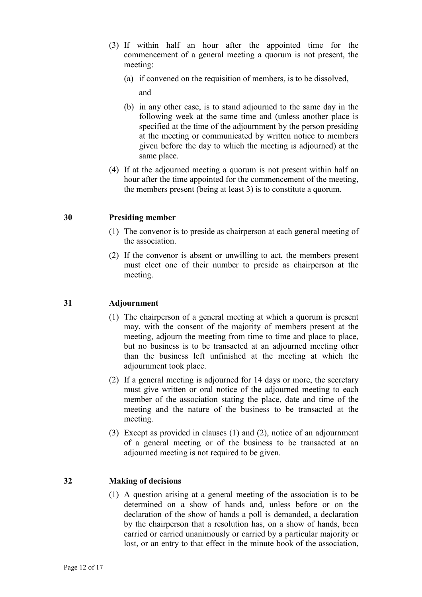- (3) If within half an hour after the appointed time for the commencement of a general meeting a quorum is not present, the meeting:
	- (a) if convened on the requisition of members, is to be dissolved,

and

- (b) in any other case, is to stand adjourned to the same day in the following week at the same time and (unless another place is specified at the time of the adjournment by the person presiding at the meeting or communicated by written notice to members given before the day to which the meeting is adjourned) at the same place.
- (4) If at the adjourned meeting a quorum is not present within half an hour after the time appointed for the commencement of the meeting, the members present (being at least 3) is to constitute a quorum.

# 30 Presiding member

- (1) The convenor is to preside as chairperson at each general meeting of the association.
- (2) If the convenor is absent or unwilling to act, the members present must elect one of their number to preside as chairperson at the meeting.

# 31 Adjournment

- (1) The chairperson of a general meeting at which a quorum is present may, with the consent of the majority of members present at the meeting, adjourn the meeting from time to time and place to place, but no business is to be transacted at an adjourned meeting other than the business left unfinished at the meeting at which the adjournment took place.
- (2) If a general meeting is adjourned for 14 days or more, the secretary must give written or oral notice of the adjourned meeting to each member of the association stating the place, date and time of the meeting and the nature of the business to be transacted at the meeting.
- (3) Except as provided in clauses (1) and (2), notice of an adjournment of a general meeting or of the business to be transacted at an adjourned meeting is not required to be given.

# 32 Making of decisions

(1) A question arising at a general meeting of the association is to be determined on a show of hands and, unless before or on the declaration of the show of hands a poll is demanded, a declaration by the chairperson that a resolution has, on a show of hands, been carried or carried unanimously or carried by a particular majority or lost, or an entry to that effect in the minute book of the association,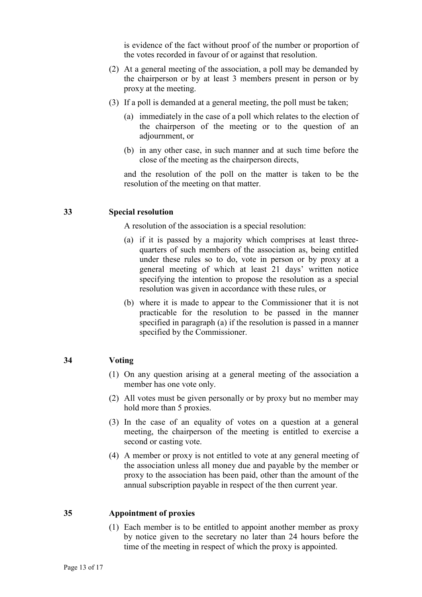is evidence of the fact without proof of the number or proportion of the votes recorded in favour of or against that resolution.

- (2) At a general meeting of the association, a poll may be demanded by the chairperson or by at least 3 members present in person or by proxy at the meeting.
- (3) If a poll is demanded at a general meeting, the poll must be taken;
	- (a) immediately in the case of a poll which relates to the election of the chairperson of the meeting or to the question of an adjournment, or
	- (b) in any other case, in such manner and at such time before the close of the meeting as the chairperson directs,

and the resolution of the poll on the matter is taken to be the resolution of the meeting on that matter.

#### 33 Special resolution

A resolution of the association is a special resolution:

- (a) if it is passed by a majority which comprises at least threequarters of such members of the association as, being entitled under these rules so to do, vote in person or by proxy at a general meeting of which at least 21 days' written notice specifying the intention to propose the resolution as a special resolution was given in accordance with these rules, or
- (b) where it is made to appear to the Commissioner that it is not practicable for the resolution to be passed in the manner specified in paragraph (a) if the resolution is passed in a manner specified by the Commissioner.

#### 34 Voting

- (1) On any question arising at a general meeting of the association a member has one vote only.
- (2) All votes must be given personally or by proxy but no member may hold more than 5 proxies.
- (3) In the case of an equality of votes on a question at a general meeting, the chairperson of the meeting is entitled to exercise a second or casting vote.
- (4) A member or proxy is not entitled to vote at any general meeting of the association unless all money due and payable by the member or proxy to the association has been paid, other than the amount of the annual subscription payable in respect of the then current year.

#### 35 Appointment of proxies

(1) Each member is to be entitled to appoint another member as proxy by notice given to the secretary no later than 24 hours before the time of the meeting in respect of which the proxy is appointed.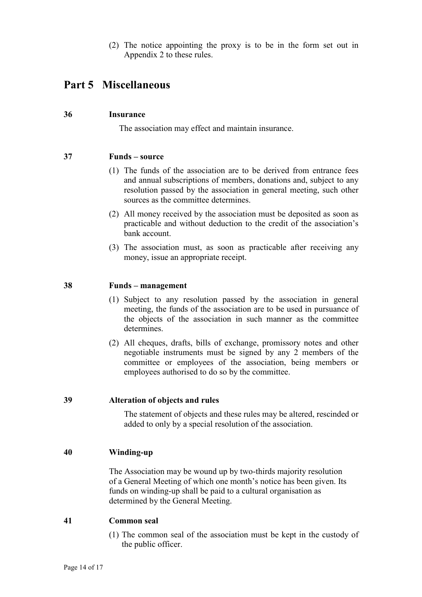(2) The notice appointing the proxy is to be in the form set out in Appendix 2 to these rules.

# Part 5 Miscellaneous

#### 36 Insurance

The association may effect and maintain insurance.

# 37 Funds – source

- (1) The funds of the association are to be derived from entrance fees and annual subscriptions of members, donations and, subject to any resolution passed by the association in general meeting, such other sources as the committee determines.
- (2) All money received by the association must be deposited as soon as practicable and without deduction to the credit of the association's bank account.
- (3) The association must, as soon as practicable after receiving any money, issue an appropriate receipt.

#### 38 Funds – management

- (1) Subject to any resolution passed by the association in general meeting, the funds of the association are to be used in pursuance of the objects of the association in such manner as the committee determines.
- (2) All cheques, drafts, bills of exchange, promissory notes and other negotiable instruments must be signed by any 2 members of the committee or employees of the association, being members or employees authorised to do so by the committee.

#### 39 Alteration of objects and rules

The statement of objects and these rules may be altered, rescinded or added to only by a special resolution of the association.

# 40 Winding-up

The Association may be wound up by two-thirds majority resolution of a General Meeting of which one month's notice has been given. Its funds on winding-up shall be paid to a cultural organisation as determined by the General Meeting.

#### 41 Common seal

(1) The common seal of the association must be kept in the custody of the public officer.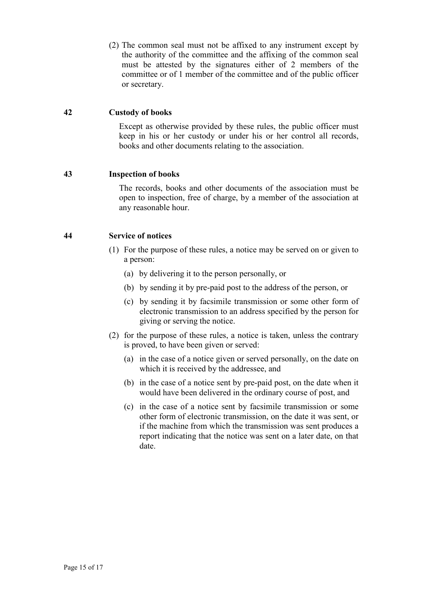(2) The common seal must not be affixed to any instrument except by the authority of the committee and the affixing of the common seal must be attested by the signatures either of 2 members of the committee or of 1 member of the committee and of the public officer or secretary.

#### 42 Custody of books

Except as otherwise provided by these rules, the public officer must keep in his or her custody or under his or her control all records, books and other documents relating to the association.

# 43 Inspection of books

The records, books and other documents of the association must be open to inspection, free of charge, by a member of the association at any reasonable hour.

#### 44 Service of notices

- (1) For the purpose of these rules, a notice may be served on or given to a person:
	- (a) by delivering it to the person personally, or
	- (b) by sending it by pre-paid post to the address of the person, or
	- (c) by sending it by facsimile transmission or some other form of electronic transmission to an address specified by the person for giving or serving the notice.
- (2) for the purpose of these rules, a notice is taken, unless the contrary is proved, to have been given or served:
	- (a) in the case of a notice given or served personally, on the date on which it is received by the addressee, and
	- (b) in the case of a notice sent by pre-paid post, on the date when it would have been delivered in the ordinary course of post, and
	- (c) in the case of a notice sent by facsimile transmission or some other form of electronic transmission, on the date it was sent, or if the machine from which the transmission was sent produces a report indicating that the notice was sent on a later date, on that date.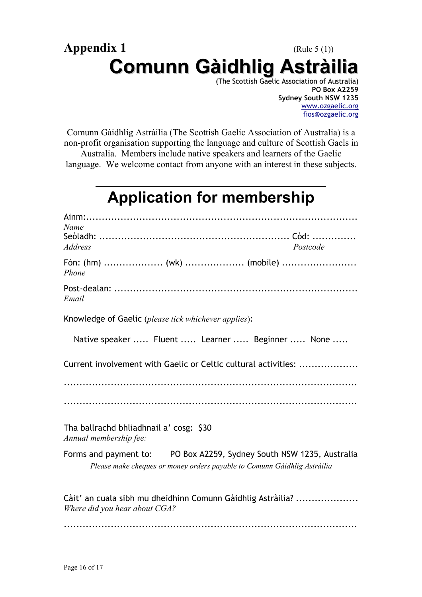# Appendix 1 (Rule 5 (1)) Comunn Gàidhlig Astràilia

(The Scottish Gaelic Association of Australia) PO Box A2259 Sydney South NSW 1235 www.ozgaelic.org fios@ozgaelic.org

Comunn Gàidhlig Astràilia (The Scottish Gaelic Association of Australia) is a non-profit organisation supporting the language and culture of Scottish Gaels in

Australia. Members include native speakers and learners of the Gaelic language. We welcome contact from anyone with an interest in these subjects.

# Application for membership

| Name                                                                                                                                             |  |
|--------------------------------------------------------------------------------------------------------------------------------------------------|--|
| <b>Address</b><br>Postcode                                                                                                                       |  |
| Fòn: (hm)  (wk)  (mobile)<br>Phone                                                                                                               |  |
| Email                                                                                                                                            |  |
| Knowledge of Gaelic (please tick whichever applies):                                                                                             |  |
| Native speaker  Fluent  Learner  Beginner  None                                                                                                  |  |
| Current involvement with Gaelic or Celtic cultural activities:                                                                                   |  |
|                                                                                                                                                  |  |
|                                                                                                                                                  |  |
| Tha ballrachd bhliadhnail a' cosg: \$30<br>Annual membership fee:                                                                                |  |
| Forms and payment to: PO Box A2259, Sydney South NSW 1235, Australia<br>Please make cheques or money orders payable to Comunn Gàidhlig Astràilia |  |
| Càit' an cuala sibh mu dheidhinn Comunn Gàidhlig Astràilia?<br>Where did you hear about CGA?                                                     |  |
|                                                                                                                                                  |  |